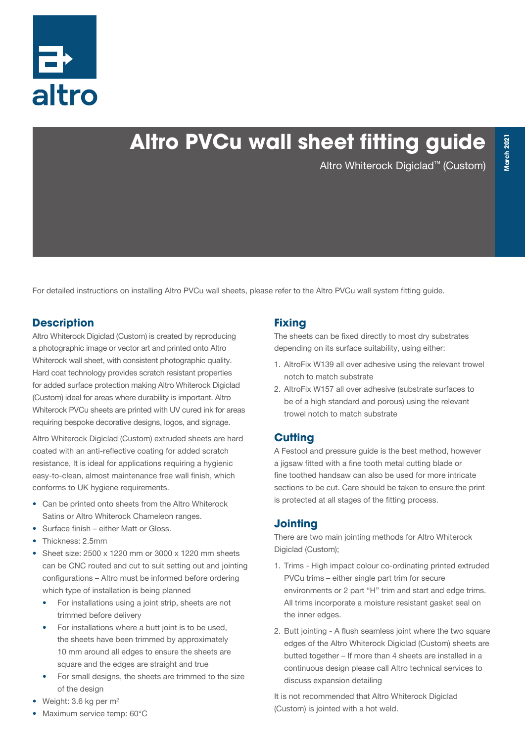

# **Altro PVCu wall sheet fitting guide**

Altro Whiterock Digiclad™ (Custom)

For detailed instructions on installing Altro PVCu wall sheets, please refer to the Altro PVCu wall system fitting guide.

#### **Description**

Altro Whiterock Digiclad (Custom) is created by reproducing a photographic image or vector art and printed onto Altro Whiterock wall sheet, with consistent photographic quality. Hard coat technology provides scratch resistant properties for added surface protection making Altro Whiterock Digiclad (Custom) ideal for areas where durability is important. Altro Whiterock PVCu sheets are printed with UV cured ink for areas requiring bespoke decorative designs, logos, and signage.

Altro Whiterock Digiclad (Custom) extruded sheets are hard coated with an anti-reflective coating for added scratch resistance, It is ideal for applications requiring a hygienic easy-to-clean, almost maintenance free wall finish, which conforms to UK hygiene requirements.

- Can be printed onto sheets from the Altro Whiterock Satins or Altro Whiterock Chameleon ranges.
- Surface finish either Matt or Gloss.
- Thickness: 2.5mm
- Sheet size: 2500 x 1220 mm or 3000 x 1220 mm sheets can be CNC routed and cut to suit setting out and jointing configurations – Altro must be informed before ordering which type of installation is being planned
	- For installations using a joint strip, sheets are not trimmed before delivery
	- For installations where a butt joint is to be used, the sheets have been trimmed by approximately 10 mm around all edges to ensure the sheets are square and the edges are straight and true
	- For small designs, the sheets are trimmed to the size of the design
- Weight:  $3.6$  kg per  $m<sup>2</sup>$
- Maximum service temp: 60°C

#### **Fixing**

The sheets can be fixed directly to most dry substrates depending on its surface suitability, using either:

- 1. AltroFix W139 all over adhesive using the relevant trowel notch to match substrate
- 2. AltroFix W157 all over adhesive (substrate surfaces to be of a high standard and porous) using the relevant trowel notch to match substrate

#### **Cutting**

A Festool and pressure guide is the best method, however a jigsaw fitted with a fine tooth metal cutting blade or fine toothed handsaw can also be used for more intricate sections to be cut. Care should be taken to ensure the print is protected at all stages of the fitting process.

#### **Jointing**

There are two main jointing methods for Altro Whiterock Digiclad (Custom);

- 1. Trims High impact colour co-ordinating printed extruded PVCu trims – either single part trim for secure environments or 2 part "H" trim and start and edge trims. All trims incorporate a moisture resistant gasket seal on the inner edges.
- 2. Butt jointing A flush seamless joint where the two square edges of the Altro Whiterock Digiclad (Custom) sheets are butted together – If more than 4 sheets are installed in a continuous design please call Altro technical services to discuss expansion detailing

It is not recommended that Altro Whiterock Digiclad (Custom) is jointed with a hot weld.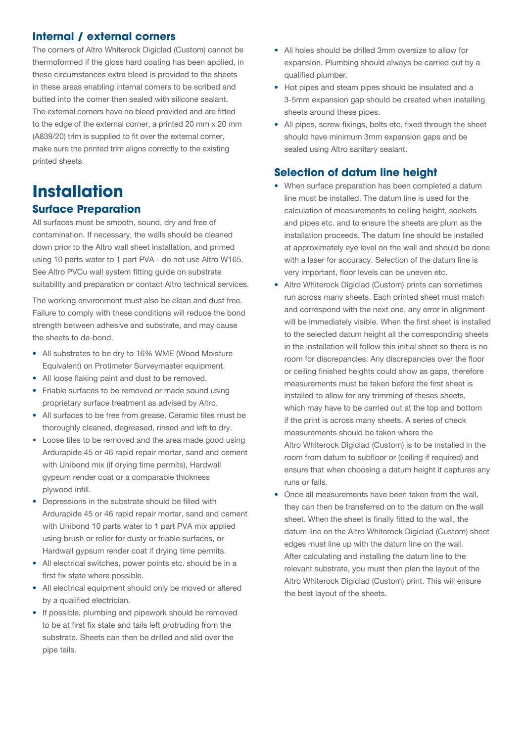#### **Internal / external corners**

The corners of Altro Whiterock Digiclad (Custom) cannot be thermoformed if the gloss hard coating has been applied, in these circumstances extra bleed is provided to the sheets in these areas enabling internal corners to be scribed and butted into the corner then sealed with silicone sealant. The external corners have no bleed provided and are fitted to the edge of the external corner, a printed 20 mm x 20 mm (A839/20) trim is supplied to fit over the external corner, make sure the printed trim aligns correctly to the existing printed sheets.

# **Installation Surface Preparation**

All surfaces must be smooth, sound, dry and free of contamination. If necessary, the walls should be cleaned down prior to the Altro wall sheet installation, and primed using 10 parts water to 1 part PVA - do not use Altro W165. See Altro PVCu wall system fitting guide on substrate suitability and preparation or contact Altro technical services.

The working environment must also be clean and dust free. Failure to comply with these conditions will reduce the bond strength between adhesive and substrate, and may cause the sheets to de-bond.

- All substrates to be dry to 16% WME (Wood Moisture Equivalent) on Protimeter Surveymaster equipment.
- All loose flaking paint and dust to be removed.
- Friable surfaces to be removed or made sound using proprietary surface treatment as advised by Altro.
- All surfaces to be free from grease. Ceramic tiles must be thoroughly cleaned, degreased, rinsed and left to dry.
- Loose tiles to be removed and the area made good using Ardurapide 45 or 46 rapid repair mortar, sand and cement with Unibond mix (if drying time permits), Hardwall gypsum render coat or a comparable thickness plywood infill.
- Depressions in the substrate should be filled with Ardurapide 45 or 46 rapid repair mortar, sand and cement with Unibond 10 parts water to 1 part PVA mix applied using brush or roller for dusty or friable surfaces, or Hardwall gypsum render coat if drying time permits.
- All electrical switches, power points etc. should be in a first fix state where possible.
- All electrical equipment should only be moved or altered by a qualified electrician.
- If possible, plumbing and pipework should be removed to be at first fix state and tails left protruding from the substrate. Sheets can then be drilled and slid over the pipe tails.
- All holes should be drilled 3mm oversize to allow for expansion. Plumbing should always be carried out by a qualified plumber.
- Hot pipes and steam pipes should be insulated and a 3-5mm expansion gap should be created when installing sheets around these pipes.
- All pipes, screw fixings, bolts etc. fixed through the sheet should have minimum 3mm expansion gaps and be sealed using Altro sanitary sealant.

#### **Selection of datum line height**

- When surface preparation has been completed a datum line must be installed. The datum line is used for the calculation of measurements to ceiling height, sockets and pipes etc. and to ensure the sheets are plum as the installation proceeds. The datum line should be installed at approximately eye level on the wall and should be done with a laser for accuracy. Selection of the datum line is very important, floor levels can be uneven etc.
- Altro Whiterock Digiclad (Custom) prints can sometimes run across many sheets. Each printed sheet must match and correspond with the next one, any error in alignment will be immediately visible. When the first sheet is installed to the selected datum height all the corresponding sheets in the installation will follow this initial sheet so there is no room for discrepancies. Any discrepancies over the floor or ceiling finished heights could show as gaps, therefore measurements must be taken before the first sheet is installed to allow for any trimming of theses sheets, which may have to be carried out at the top and bottom if the print is across many sheets. A series of check measurements should be taken where the Altro Whiterock Digiclad (Custom) is to be installed in the room from datum to subfloor or (ceiling if required) and ensure that when choosing a datum height it captures any runs or falls.
- Once all measurements have been taken from the wall, they can then be transferred on to the datum on the wall sheet. When the sheet is finally fitted to the wall, the datum line on the Altro Whiterock Digiclad (Custom) sheet edges must line up with the datum line on the wall. After calculating and installing the datum line to the relevant substrate, you must then plan the layout of the Altro Whiterock Digiclad (Custom) print. This will ensure the best layout of the sheets.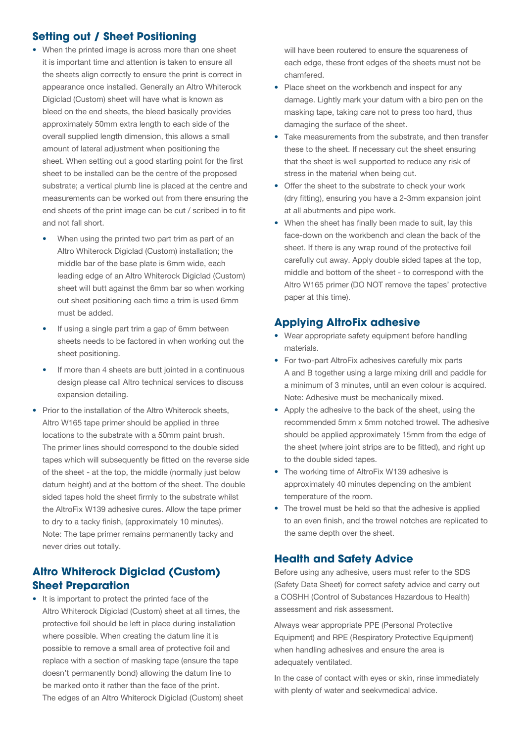#### **Setting out / Sheet Positioning**

- When the printed image is across more than one sheet it is important time and attention is taken to ensure all the sheets align correctly to ensure the print is correct in appearance once installed. Generally an Altro Whiterock Digiclad (Custom) sheet will have what is known as bleed on the end sheets, the bleed basically provides approximately 50mm extra length to each side of the overall supplied length dimension, this allows a small amount of lateral adjustment when positioning the sheet. When setting out a good starting point for the first sheet to be installed can be the centre of the proposed substrate; a vertical plumb line is placed at the centre and measurements can be worked out from there ensuring the end sheets of the print image can be cut / scribed in to fit and not fall short.
	- When using the printed two part trim as part of an Altro Whiterock Digiclad (Custom) installation; the middle bar of the base plate is 6mm wide, each leading edge of an Altro Whiterock Digiclad (Custom) sheet will butt against the 6mm bar so when working out sheet positioning each time a trim is used 6mm must be added.
	- If using a single part trim a gap of 6mm between sheets needs to be factored in when working out the sheet positioning.
	- If more than 4 sheets are butt jointed in a continuous design please call Altro technical services to discuss expansion detailing.
- Prior to the installation of the Altro Whiterock sheets, Altro W165 tape primer should be applied in three locations to the substrate with a 50mm paint brush. The primer lines should correspond to the double sided tapes which will subsequently be fitted on the reverse side of the sheet - at the top, the middle (normally just below datum height) and at the bottom of the sheet. The double sided tapes hold the sheet firmly to the substrate whilst the AltroFix W139 adhesive cures. Allow the tape primer to dry to a tacky finish, (approximately 10 minutes). Note: The tape primer remains permanently tacky and never dries out totally.

#### **Altro Whiterock Digiclad (Custom) Sheet Preparation**

• It is important to protect the printed face of the Altro Whiterock Digiclad (Custom) sheet at all times, the protective foil should be left in place during installation where possible. When creating the datum line it is possible to remove a small area of protective foil and replace with a section of masking tape (ensure the tape doesn't permanently bond) allowing the datum line to be marked onto it rather than the face of the print. The edges of an Altro Whiterock Digiclad (Custom) sheet will have been routered to ensure the squareness of each edge, these front edges of the sheets must not be chamfered.

- Place sheet on the workbench and inspect for any damage. Lightly mark your datum with a biro pen on the masking tape, taking care not to press too hard, thus damaging the surface of the sheet.
- Take measurements from the substrate, and then transfer these to the sheet. If necessary cut the sheet ensuring that the sheet is well supported to reduce any risk of stress in the material when being cut.
- Offer the sheet to the substrate to check your work (dry fitting), ensuring you have a 2-3mm expansion joint at all abutments and pipe work.
- When the sheet has finally been made to suit, lay this face-down on the workbench and clean the back of the sheet. If there is any wrap round of the protective foil carefully cut away. Apply double sided tapes at the top, middle and bottom of the sheet - to correspond with the Altro W165 primer (DO NOT remove the tapes' protective paper at this time).

#### **Applying AltroFix adhesive**

- Wear appropriate safety equipment before handling materials.
- For two-part AltroFix adhesives carefully mix parts A and B together using a large mixing drill and paddle for a minimum of 3 minutes, until an even colour is acquired. Note: Adhesive must be mechanically mixed.
- Apply the adhesive to the back of the sheet, using the recommended 5mm x 5mm notched trowel. The adhesive should be applied approximately 15mm from the edge of the sheet (where joint strips are to be fitted), and right up to the double sided tapes.
- The working time of AltroFix W139 adhesive is approximately 40 minutes depending on the ambient temperature of the room.
- The trowel must be held so that the adhesive is applied to an even finish, and the trowel notches are replicated to the same depth over the sheet.

#### **Health and Safety Advice**

Before using any adhesive, users must refer to the SDS (Safety Data Sheet) for correct safety advice and carry out a COSHH (Control of Substances Hazardous to Health) assessment and risk assessment.

Always wear appropriate PPE (Personal Protective Equipment) and RPE (Respiratory Protective Equipment) when handling adhesives and ensure the area is adequately ventilated.

In the case of contact with eyes or skin, rinse immediately with plenty of water and seekvmedical advice.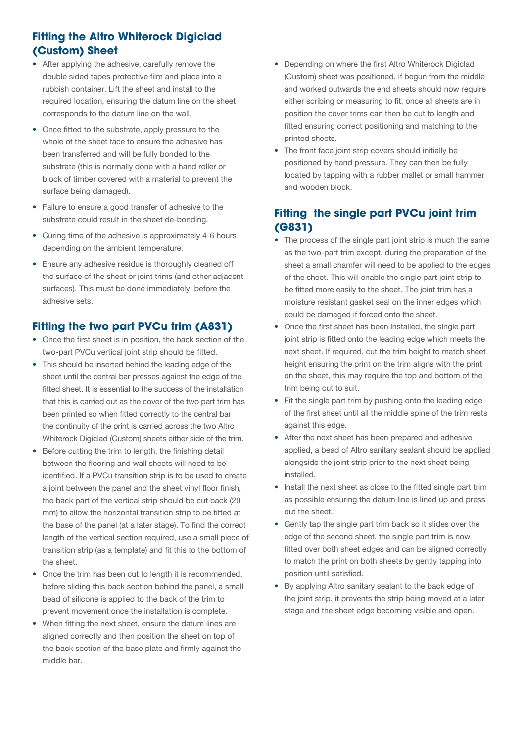# **Fitting the Altro Whiterock Digiclad (Custom) Sheet**

- After applying the adhesive, carefully remove the double sided tapes protective film and place into a rubbish container. Lift the sheet and install to the required location, ensuring the datum line on the sheet corresponds to the datum line on the wall.
- Once fitted to the substrate, apply pressure to the whole of the sheet face to ensure the adhesive has been transferred and will be fully bonded to the substrate (this is normally done with a hand roller or block of timber covered with a material to prevent the surface being damaged).
- Failure to ensure a good transfer of adhesive to the substrate could result in the sheet de-bonding.
- Curing time of the adhesive is approximately 4-6 hours depending on the ambient temperature.
- Ensure any adhesive residue is thoroughly cleaned off the surface of the sheet or joint trims (and other adjacent surfaces). This must be done immediately, before the adhesive sets.

#### **Fitting the two part PVCu trim (A831)**

- Once the first sheet is in position, the back section of the two-part PVCu vertical joint strip should be fitted.
- This should be inserted behind the leading edge of the sheet until the central bar presses against the edge of the fitted sheet. It is essential to the success of the installation that this is carried out as the cover of the two part trim has been printed so when fitted correctly to the central bar the continuity of the print is carried across the two Altro Whiterock Digiclad (Custom) sheets either side of the trim.
- Before cutting the trim to length, the finishing detail between the flooring and wall sheets will need to be identified. If a PVCu transition strip is to be used to create a joint between the panel and the sheet vinyl floor finish, the back part of the vertical strip should be cut back (20 mm) to allow the horizontal transition strip to be fitted at the base of the panel (at a later stage). To find the correct length of the vertical section required, use a small piece of transition strip (as a template) and fit this to the bottom of the sheet.
- Once the trim has been cut to length it is recommended, before sliding this back section behind the panel, a small bead of silicone is applied to the back of the trim to prevent movement once the installation is complete.
- When fitting the next sheet, ensure the datum lines are aligned correctly and then position the sheet on top of the back section of the base plate and firmly against the middle bar.
- Depending on where the first Altro Whiterock Digiclad (Custom) sheet was positioned, if begun from the middle and worked outwards the end sheets should now require either scribing or measuring to fit, once all sheets are in position the cover trims can then be cut to length and fitted ensuring correct positioning and matching to the printed sheets.
- The front face joint strip covers should initially be positioned by hand pressure. They can then be fully located by tapping with a rubber mallet or small hammer and wooden block.

### **Fitting the single part PVCu joint trim (G831)**

- The process of the single part joint strip is much the same as the two-part trim except, during the preparation of the sheet a small chamfer will need to be applied to the edges of the sheet. This will enable the single part joint strip to be fitted more easily to the sheet. The joint trim has a moisture resistant gasket seal on the inner edges which could be damaged if forced onto the sheet.
- Once the first sheet has been installed, the single part joint strip is fitted onto the leading edge which meets the next sheet. If required, cut the trim height to match sheet height ensuring the print on the trim aligns with the print on the sheet, this may require the top and bottom of the trim being cut to suit.
- Fit the single part trim by pushing onto the leading edge of the first sheet until all the middle spine of the trim rests against this edge.
- After the next sheet has been prepared and adhesive applied, a bead of Altro sanitary sealant should be applied alongside the joint strip prior to the next sheet being installed.
- Install the next sheet as close to the fitted single part trim as possible ensuring the datum line is lined up and press out the sheet.
- Gently tap the single part trim back so it slides over the edge of the second sheet, the single part trim is now fitted over both sheet edges and can be aligned correctly to match the print on both sheets by gently tapping into position until satisfied.
- By applying Altro sanitary sealant to the back edge of the joint strip, it prevents the strip being moved at a later stage and the sheet edge becoming visible and open.